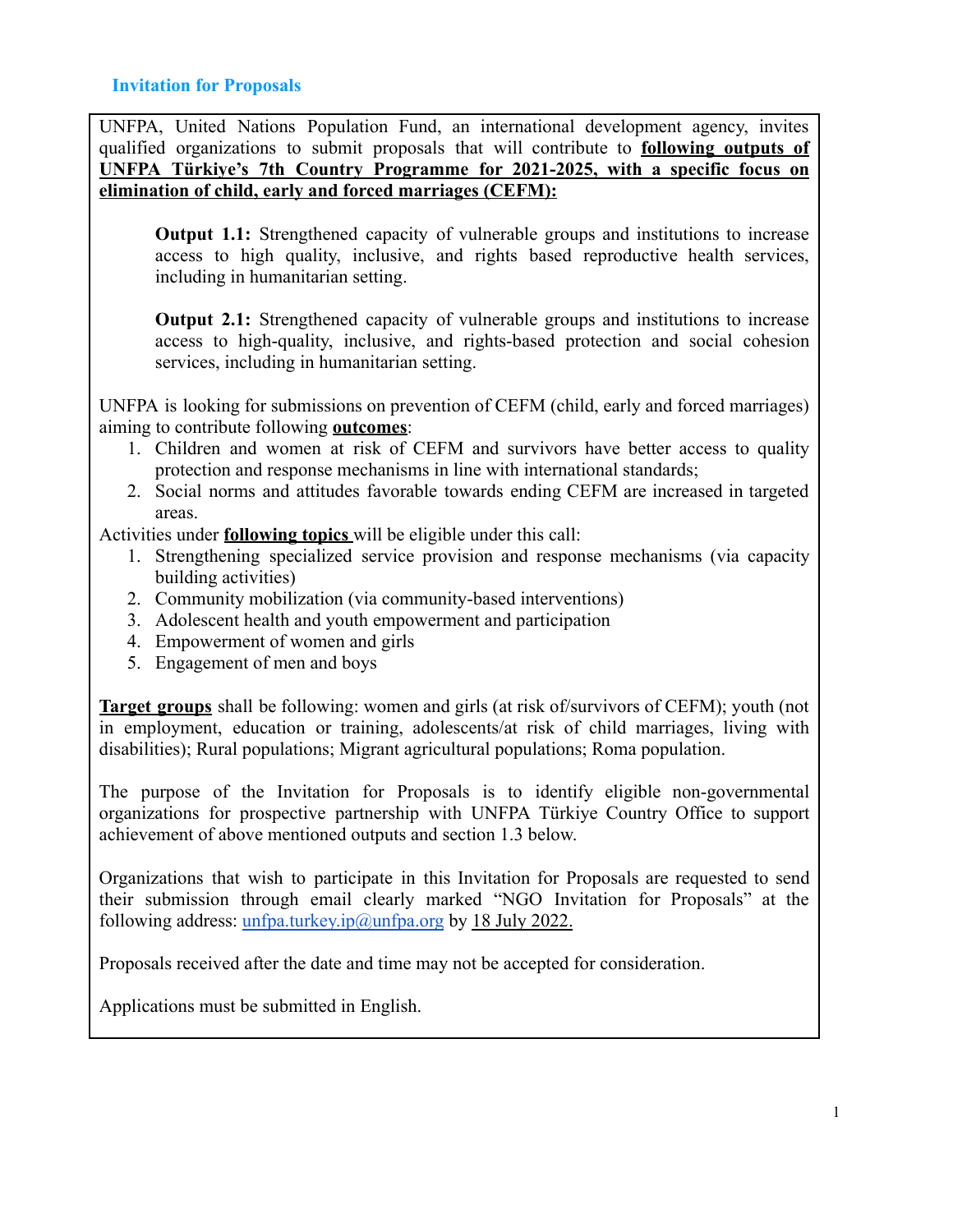UNFPA, United Nations Population Fund, an international development agency, invites qualified organizations to submit proposals that will contribute to **following outputs of UNFPA Türkiye's 7th Country Programme for 2021-2025, with a specific focus on elimination of child, early and forced marriages (CEFM):**

**Output 1.1:** Strengthened capacity of vulnerable groups and institutions to increase access to high quality, inclusive, and rights based reproductive health services, including in humanitarian setting.

**Output 2.1:** Strengthened capacity of vulnerable groups and institutions to increase access to high-quality, inclusive, and rights-based protection and social cohesion services, including in humanitarian setting.

UNFPA is looking for submissions on prevention of CEFM (child, early and forced marriages) aiming to contribute following **outcomes**:

- 1. Children and women at risk of CEFM and survivors have better access to quality protection and response mechanisms in line with international standards;
- 2. Social norms and attitudes favorable towards ending CEFM are increased in targeted areas.

Activities under **following topics** will be eligible under this call:

- 1. Strengthening specialized service provision and response mechanisms (via capacity building activities)
- 2. Community mobilization (via community-based interventions)
- 3. Adolescent health and youth empowerment and participation
- 4. Empowerment of women and girls
- 5. Engagement of men and boys

**Target groups** shall be following: women and girls (at risk of/survivors of CEFM); youth (not in employment, education or training, adolescents/at risk of child marriages, living with disabilities); Rural populations; Migrant agricultural populations; Roma population.

The purpose of the Invitation for Proposals is to identify eligible non-governmental organizations for prospective partnership with UNFPA Türkiye Country Office to support achievement of above mentioned outputs and section 1.3 below.

Organizations that wish to participate in this Invitation for Proposals are requested to send their submission through email clearly marked "NGO Invitation for Proposals" at the following address: [unfpa.turkey.ip@unfpa.org](mailto:unfpa.turkey.ip@unfpa.org) by 18 July 2022.

Proposals received after the date and time may not be accepted for consideration.

Applications must be submitted in English.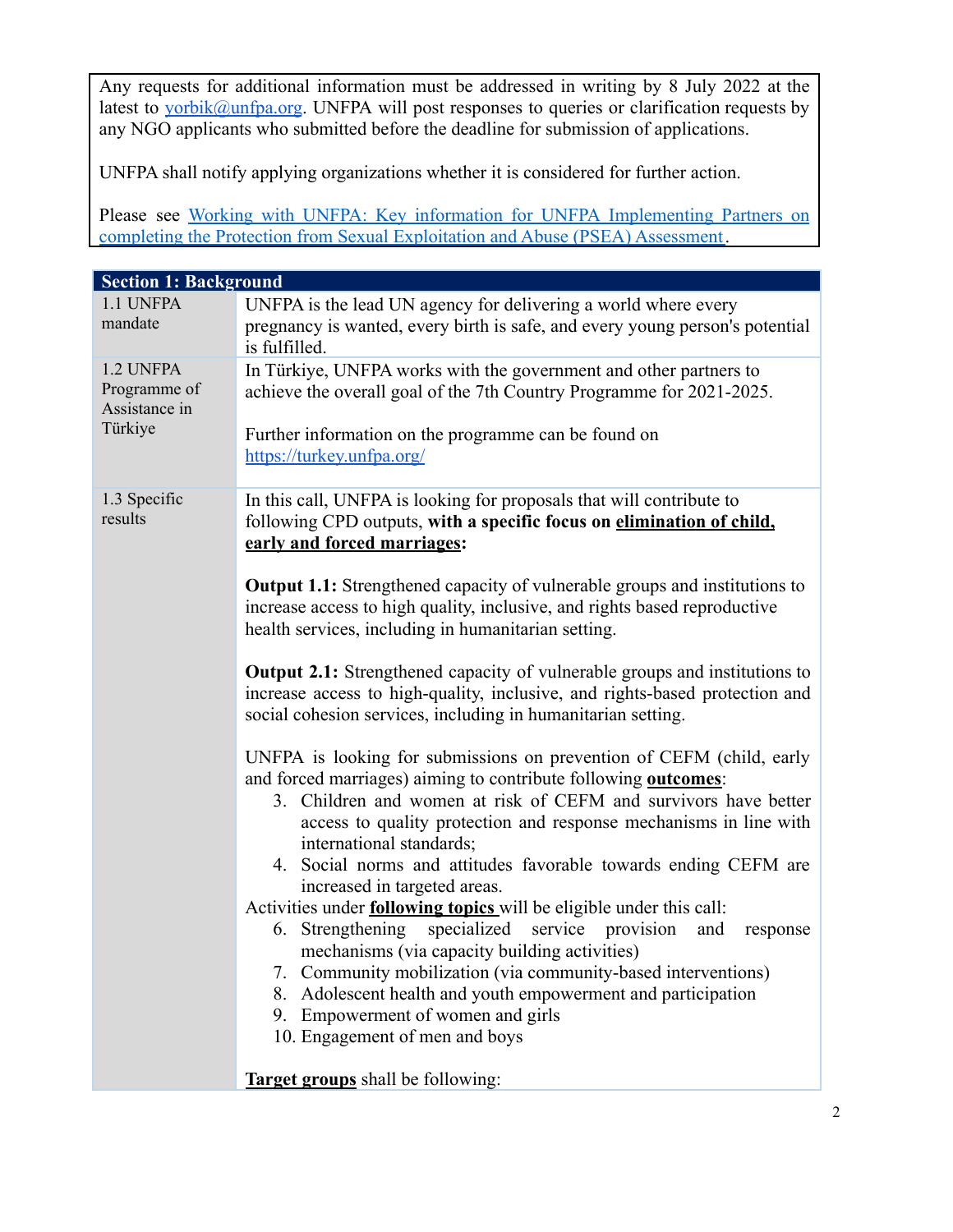Any requests for additional information must be addressed in writing by 8 July 2022 at the latest to [yorbik@unfpa.org](mailto:yorbik@unfpa.org). UNFPA will post responses to queries or clarification requests by any NGO applicants who submitted before the deadline for submission of applications.

UNFPA shall notify applying organizations whether it is considered for further action.

Please see Working with UNFPA: Key information for UNFPA [Implementing](https://www.unfpa.org/sites/default/files/admin-resource/Working_with_UNFPA_Key_information_for_IP_on_PSEA_Assessment_Nov2020.pdf) Partners on [completing the Protection from Sexual Exploitation and Abuse \(PSEA\) Assessment](https://www.unfpa.org/sites/default/files/admin-resource/Working_with_UNFPA_Key_information_for_IP_on_PSEA_Assessment_Nov2020.pdf).

| <b>Section 1: Background</b>                          |                                                                                                                                                                                                                                                                                                                                                                                                                                                                                                                                                                                                                                                                                                                                                                                                                                                                                                                                                                                                                                                                                                                                                                                                                                                                                                                                         |  |  |  |
|-------------------------------------------------------|-----------------------------------------------------------------------------------------------------------------------------------------------------------------------------------------------------------------------------------------------------------------------------------------------------------------------------------------------------------------------------------------------------------------------------------------------------------------------------------------------------------------------------------------------------------------------------------------------------------------------------------------------------------------------------------------------------------------------------------------------------------------------------------------------------------------------------------------------------------------------------------------------------------------------------------------------------------------------------------------------------------------------------------------------------------------------------------------------------------------------------------------------------------------------------------------------------------------------------------------------------------------------------------------------------------------------------------------|--|--|--|
| 1.1 UNFPA<br>mandate                                  | UNFPA is the lead UN agency for delivering a world where every<br>pregnancy is wanted, every birth is safe, and every young person's potential<br>is fulfilled.                                                                                                                                                                                                                                                                                                                                                                                                                                                                                                                                                                                                                                                                                                                                                                                                                                                                                                                                                                                                                                                                                                                                                                         |  |  |  |
| 1.2 UNFPA<br>Programme of<br>Assistance in<br>Türkiye | In Türkiye, UNFPA works with the government and other partners to<br>achieve the overall goal of the 7th Country Programme for 2021-2025.<br>Further information on the programme can be found on<br>https://turkey.unfpa.org/                                                                                                                                                                                                                                                                                                                                                                                                                                                                                                                                                                                                                                                                                                                                                                                                                                                                                                                                                                                                                                                                                                          |  |  |  |
| 1.3 Specific<br>results                               | In this call, UNFPA is looking for proposals that will contribute to<br>following CPD outputs, with a specific focus on elimination of child,<br>early and forced marriages:<br><b>Output 1.1:</b> Strengthened capacity of vulnerable groups and institutions to<br>increase access to high quality, inclusive, and rights based reproductive<br>health services, including in humanitarian setting.<br><b>Output 2.1:</b> Strengthened capacity of vulnerable groups and institutions to<br>increase access to high-quality, inclusive, and rights-based protection and<br>social cohesion services, including in humanitarian setting.<br>UNFPA is looking for submissions on prevention of CEFM (child, early<br>and forced marriages) aiming to contribute following <b>outcomes</b> :<br>3. Children and women at risk of CEFM and survivors have better<br>access to quality protection and response mechanisms in line with<br>international standards;<br>4. Social norms and attitudes favorable towards ending CEFM are<br>increased in targeted areas.<br>Activities under <b>following topics</b> will be eligible under this call:<br>6. Strengthening specialized service provision<br>and<br>response<br>mechanisms (via capacity building activities)<br>7. Community mobilization (via community-based interventions) |  |  |  |
|                                                       | 8. Adolescent health and youth empowerment and participation<br>9. Empowerment of women and girls<br>10. Engagement of men and boys<br><b>Target groups</b> shall be following:                                                                                                                                                                                                                                                                                                                                                                                                                                                                                                                                                                                                                                                                                                                                                                                                                                                                                                                                                                                                                                                                                                                                                         |  |  |  |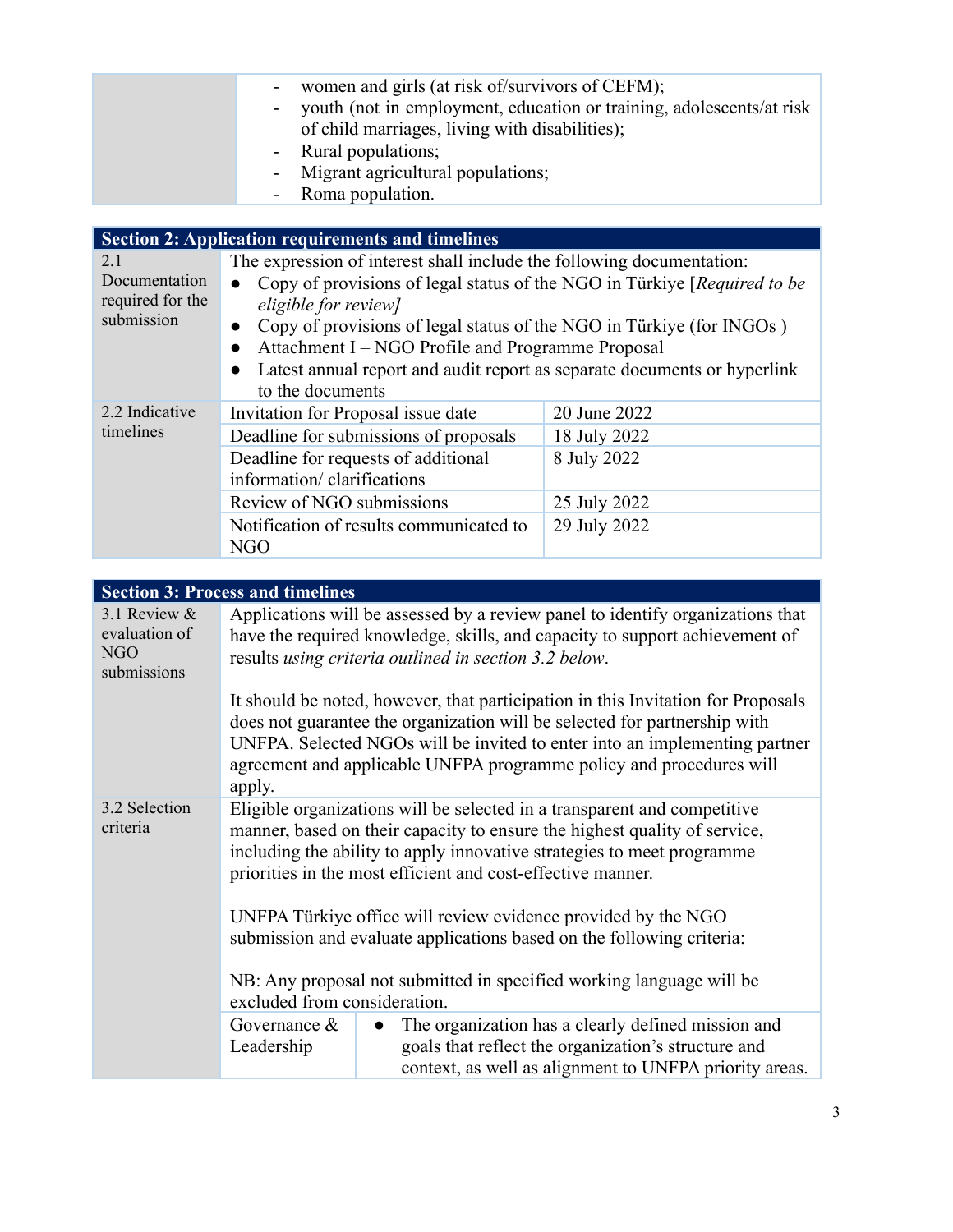| women and girls (at risk of/survivors of CEFM);                        |
|------------------------------------------------------------------------|
| - youth (not in employment, education or training, adolescents/at risk |
| of child marriages, living with disabilities);                         |
| - Rural populations;                                                   |
| - Migrant agricultural populations;                                    |
| - Roma population.                                                     |

| <b>Section 2: Application requirements and timelines</b> |                                                                                                                                                                                                                                                                                                                                                                                                                     |                                                                             |  |  |  |
|----------------------------------------------------------|---------------------------------------------------------------------------------------------------------------------------------------------------------------------------------------------------------------------------------------------------------------------------------------------------------------------------------------------------------------------------------------------------------------------|-----------------------------------------------------------------------------|--|--|--|
| 2.1<br>Documentation<br>required for the<br>submission   | The expression of interest shall include the following documentation:<br>Copy of provisions of legal status of the NGO in Türkiye [Required to be<br>eligible for review]<br>Copy of provisions of legal status of the NGO in Türkiye (for INGOs)<br>$\bullet$<br>Attachment I – NGO Profile and Programme Proposal<br>Latest annual report and audit report as separate documents or hyperlink<br>to the documents |                                                                             |  |  |  |
| 2.2 Indicative<br>timelines                              | Invitation for Proposal issue date<br>Deadline for submissions of proposals<br>Deadline for requests of additional<br>information/ clarifications<br>Review of NGO submissions<br>Notification of results communicated to<br><b>NGO</b>                                                                                                                                                                             | 20 June 2022<br>18 July 2022<br>8 July 2022<br>25 July 2022<br>29 July 2022 |  |  |  |

| <b>Section 3: Process and timelines</b>                                                                                                                                                                                                                                                        |                                                                                                                                                                                                                                                                                                                    |  |  |  |
|------------------------------------------------------------------------------------------------------------------------------------------------------------------------------------------------------------------------------------------------------------------------------------------------|--------------------------------------------------------------------------------------------------------------------------------------------------------------------------------------------------------------------------------------------------------------------------------------------------------------------|--|--|--|
| Applications will be assessed by a review panel to identify organizations that<br>have the required knowledge, skills, and capacity to support achievement of<br>results using criteria outlined in section 3.2 below.                                                                         |                                                                                                                                                                                                                                                                                                                    |  |  |  |
| apply.                                                                                                                                                                                                                                                                                         | It should be noted, however, that participation in this Invitation for Proposals<br>does not guarantee the organization will be selected for partnership with<br>UNFPA. Selected NGOs will be invited to enter into an implementing partner<br>agreement and applicable UNFPA programme policy and procedures will |  |  |  |
| Eligible organizations will be selected in a transparent and competitive<br>manner, based on their capacity to ensure the highest quality of service,<br>including the ability to apply innovative strategies to meet programme<br>priorities in the most efficient and cost-effective manner. |                                                                                                                                                                                                                                                                                                                    |  |  |  |
| UNFPA Türkiye office will review evidence provided by the NGO<br>submission and evaluate applications based on the following criteria:                                                                                                                                                         |                                                                                                                                                                                                                                                                                                                    |  |  |  |
| NB: Any proposal not submitted in specified working language will be<br>excluded from consideration.                                                                                                                                                                                           |                                                                                                                                                                                                                                                                                                                    |  |  |  |
| Governance $\&$<br>Leadership                                                                                                                                                                                                                                                                  | The organization has a clearly defined mission and<br>$\bullet$<br>goals that reflect the organization's structure and<br>context, as well as alignment to UNFPA priority areas.                                                                                                                                   |  |  |  |
|                                                                                                                                                                                                                                                                                                |                                                                                                                                                                                                                                                                                                                    |  |  |  |